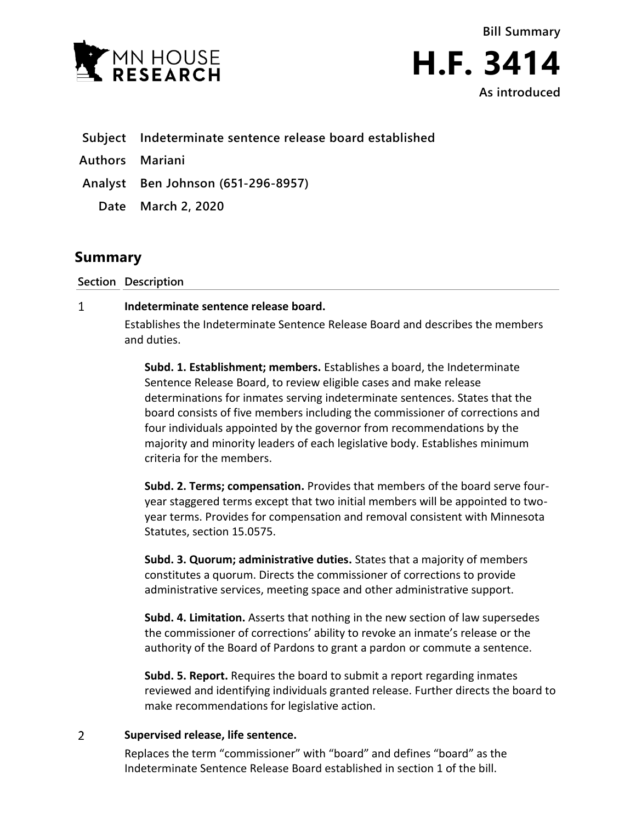

**Bill Summary H.F. 3414 As introduced**

**Subject Indeterminate sentence release board established**

**Authors Mariani**

**Analyst Ben Johnson (651-296-8957)**

**Date March 2, 2020**

## **Summary**

**Section Description**

## $\mathbf{1}$ **Indeterminate sentence release board.**

Establishes the Indeterminate Sentence Release Board and describes the members and duties.

**Subd. 1. Establishment; members.** Establishes a board, the Indeterminate Sentence Release Board, to review eligible cases and make release determinations for inmates serving indeterminate sentences. States that the board consists of five members including the commissioner of corrections and four individuals appointed by the governor from recommendations by the majority and minority leaders of each legislative body. Establishes minimum criteria for the members.

**Subd. 2. Terms; compensation.** Provides that members of the board serve fouryear staggered terms except that two initial members will be appointed to twoyear terms. Provides for compensation and removal consistent with Minnesota Statutes, section 15.0575.

**Subd. 3. Quorum; administrative duties.** States that a majority of members constitutes a quorum. Directs the commissioner of corrections to provide administrative services, meeting space and other administrative support.

**Subd. 4. Limitation.** Asserts that nothing in the new section of law supersedes the commissioner of corrections' ability to revoke an inmate's release or the authority of the Board of Pardons to grant a pardon or commute a sentence.

**Subd. 5. Report.** Requires the board to submit a report regarding inmates reviewed and identifying individuals granted release. Further directs the board to make recommendations for legislative action.

## $\overline{2}$ **Supervised release, life sentence.**

Replaces the term "commissioner" with "board" and defines "board" as the Indeterminate Sentence Release Board established in section 1 of the bill.